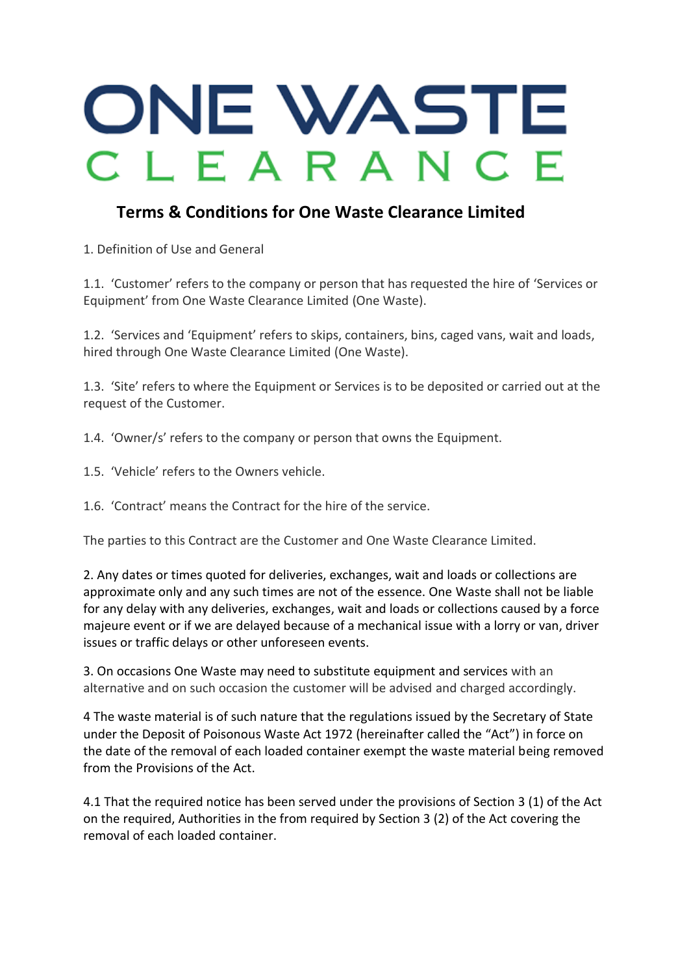## ONE WASTE CLEARANCE

## **Terms & Conditions for One Waste Clearance Limited**

1. Definition of Use and General

1.1. 'Customer' refers to the company or person that has requested the hire of 'Services or Equipment' from One Waste Clearance Limited (One Waste).

1.2. 'Services and 'Equipment' refers to skips, containers, bins, caged vans, wait and loads, hired through One Waste Clearance Limited (One Waste).

1.3. 'Site' refers to where the Equipment or Services is to be deposited or carried out at the request of the Customer.

1.4. 'Owner/s' refers to the company or person that owns the Equipment.

- 1.5. 'Vehicle' refers to the Owners vehicle.
- 1.6. 'Contract' means the Contract for the hire of the service.

The parties to this Contract are the Customer and One Waste Clearance Limited.

2. Any dates or times quoted for deliveries, exchanges, wait and loads or collections are approximate only and any such times are not of the essence. One Waste shall not be liable for any delay with any deliveries, exchanges, wait and loads or collections caused by a force majeure event or if we are delayed because of a mechanical issue with a lorry or van, driver issues or traffic delays or other unforeseen events.

3. On occasions One Waste may need to substitute equipment and services with an alternative and on such occasion the customer will be advised and charged accordingly.

4 The waste material is of such nature that the regulations issued by the Secretary of State under the Deposit of Poisonous Waste Act 1972 (hereinafter called the "Act") in force on the date of the removal of each loaded container exempt the waste material being removed from the Provisions of the Act.

4.1 That the required notice has been served under the provisions of Section 3 (1) of the Act on the required, Authorities in the from required by Section 3 (2) of the Act covering the removal of each loaded container.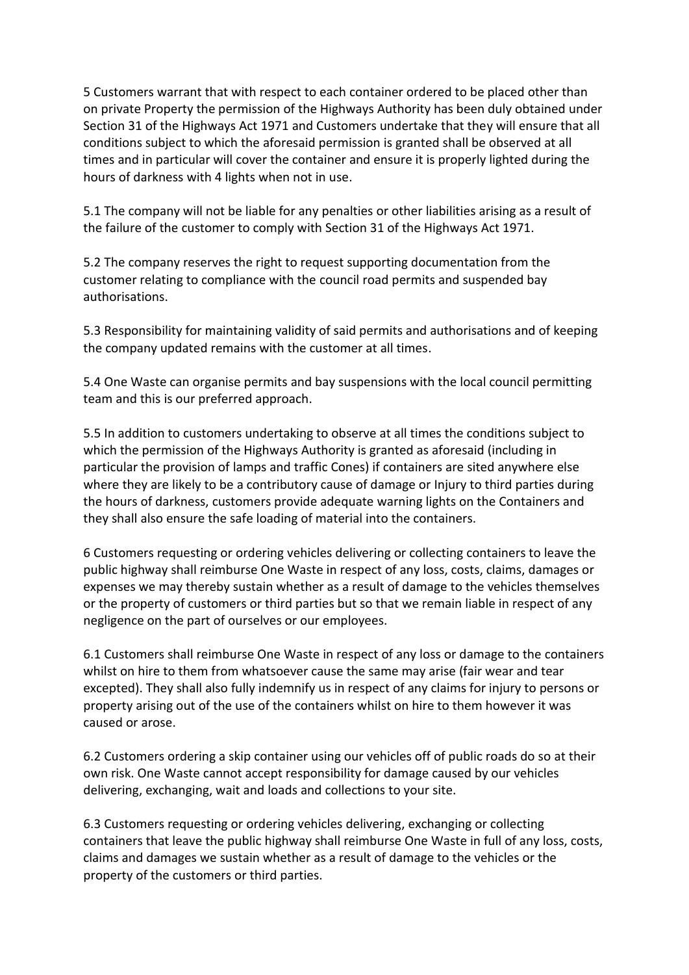5 Customers warrant that with respect to each container ordered to be placed other than on private Property the permission of the Highways Authority has been duly obtained under Section 31 of the Highways Act 1971 and Customers undertake that they will ensure that all conditions subject to which the aforesaid permission is granted shall be observed at all times and in particular will cover the container and ensure it is properly lighted during the hours of darkness with 4 lights when not in use.

5.1 The company will not be liable for any penalties or other liabilities arising as a result of the failure of the customer to comply with Section 31 of the Highways Act 1971.

5.2 The company reserves the right to request supporting documentation from the customer relating to compliance with the council road permits and suspended bay authorisations.

5.3 Responsibility for maintaining validity of said permits and authorisations and of keeping the company updated remains with the customer at all times.

5.4 One Waste can organise permits and bay suspensions with the local council permitting team and this is our preferred approach.

5.5 In addition to customers undertaking to observe at all times the conditions subject to which the permission of the Highways Authority is granted as aforesaid (including in particular the provision of lamps and traffic Cones) if containers are sited anywhere else where they are likely to be a contributory cause of damage or Injury to third parties during the hours of darkness, customers provide adequate warning lights on the Containers and they shall also ensure the safe loading of material into the containers.

6 Customers requesting or ordering vehicles delivering or collecting containers to leave the public highway shall reimburse One Waste in respect of any loss, costs, claims, damages or expenses we may thereby sustain whether as a result of damage to the vehicles themselves or the property of customers or third parties but so that we remain liable in respect of any negligence on the part of ourselves or our employees.

6.1 Customers shall reimburse One Waste in respect of any loss or damage to the containers whilst on hire to them from whatsoever cause the same may arise (fair wear and tear excepted). They shall also fully indemnify us in respect of any claims for injury to persons or property arising out of the use of the containers whilst on hire to them however it was caused or arose.

6.2 Customers ordering a skip container using our vehicles off of public roads do so at their own risk. One Waste cannot accept responsibility for damage caused by our vehicles delivering, exchanging, wait and loads and collections to your site.

6.3 Customers requesting or ordering vehicles delivering, exchanging or collecting containers that leave the public highway shall reimburse One Waste in full of any loss, costs, claims and damages we sustain whether as a result of damage to the vehicles or the property of the customers or third parties.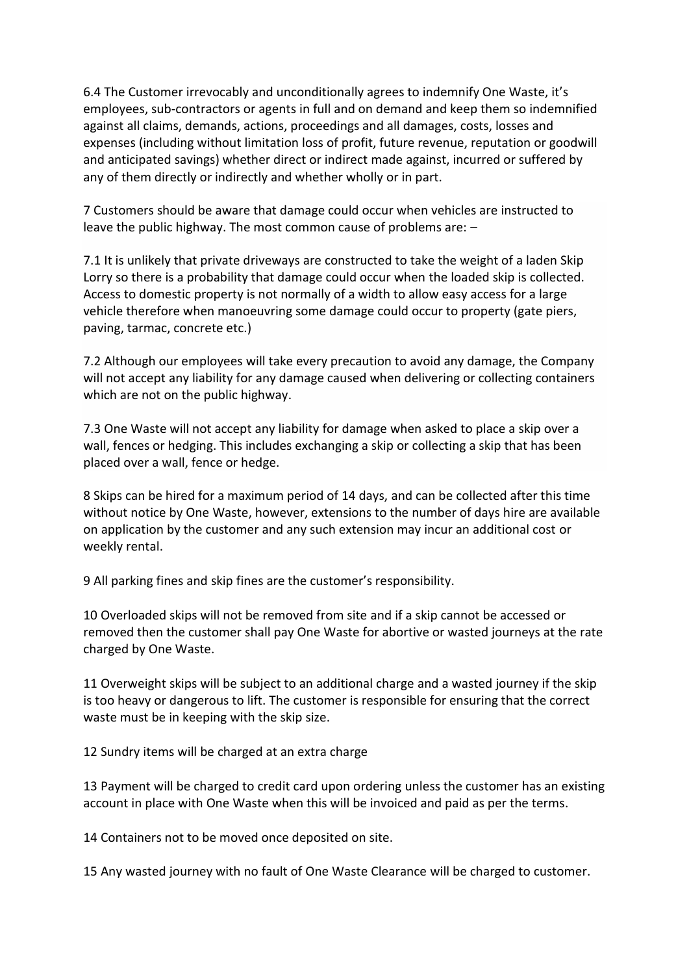6.4 The Customer irrevocably and unconditionally agrees to indemnify One Waste, it's employees, sub-contractors or agents in full and on demand and keep them so indemnified against all claims, demands, actions, proceedings and all damages, costs, losses and expenses (including without limitation loss of profit, future revenue, reputation or goodwill and anticipated savings) whether direct or indirect made against, incurred or suffered by any of them directly or indirectly and whether wholly or in part.

7 Customers should be aware that damage could occur when vehicles are instructed to leave the public highway. The most common cause of problems are: –

7.1 It is unlikely that private driveways are constructed to take the weight of a laden Skip Lorry so there is a probability that damage could occur when the loaded skip is collected. Access to domestic property is not normally of a width to allow easy access for a large vehicle therefore when manoeuvring some damage could occur to property (gate piers, paving, tarmac, concrete etc.)

7.2 Although our employees will take every precaution to avoid any damage, the Company will not accept any liability for any damage caused when delivering or collecting containers which are not on the public highway.

7.3 One Waste will not accept any liability for damage when asked to place a skip over a wall, fences or hedging. This includes exchanging a skip or collecting a skip that has been placed over a wall, fence or hedge.

8 Skips can be hired for a maximum period of 14 days, and can be collected after this time without notice by One Waste, however, extensions to the number of days hire are available on application by the customer and any such extension may incur an additional cost or weekly rental.

9 All parking fines and skip fines are the customer's responsibility.

10 Overloaded skips will not be removed from site and if a skip cannot be accessed or removed then the customer shall pay One Waste for abortive or wasted journeys at the rate charged by One Waste.

11 Overweight skips will be subject to an additional charge and a wasted journey if the skip is too heavy or dangerous to lift. The customer is responsible for ensuring that the correct waste must be in keeping with the skip size.

12 Sundry items will be charged at an extra charge

13 Payment will be charged to credit card upon ordering unless the customer has an existing account in place with One Waste when this will be invoiced and paid as per the terms.

14 Containers not to be moved once deposited on site.

15 Any wasted journey with no fault of One Waste Clearance will be charged to customer.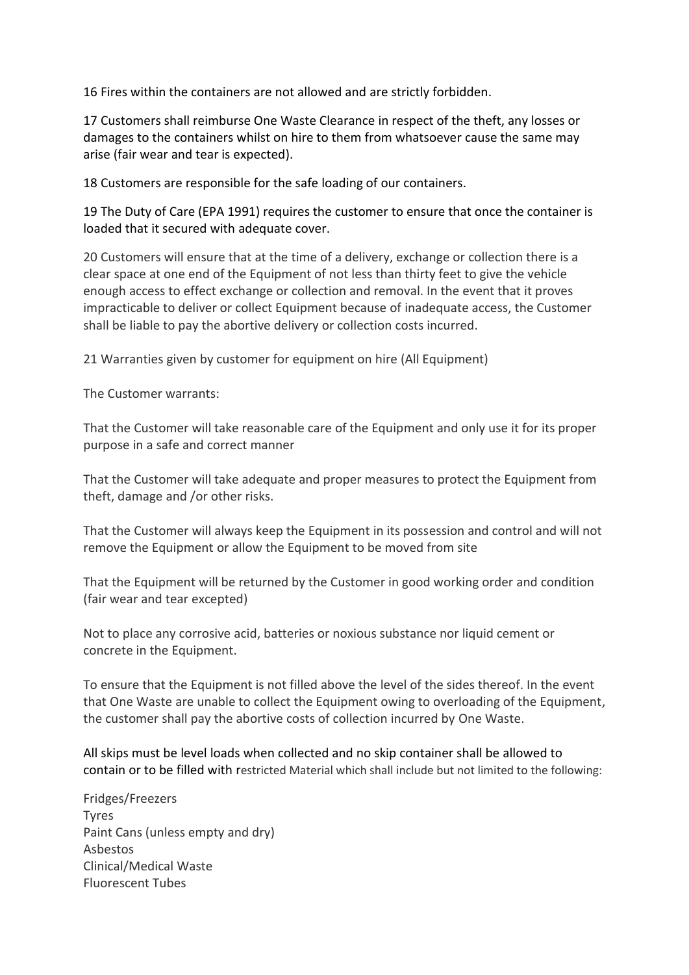16 Fires within the containers are not allowed and are strictly forbidden.

17 Customers shall reimburse One Waste Clearance in respect of the theft, any losses or damages to the containers whilst on hire to them from whatsoever cause the same may arise (fair wear and tear is expected).

18 Customers are responsible for the safe loading of our containers.

19 The Duty of Care (EPA 1991) requires the customer to ensure that once the container is loaded that it secured with adequate cover.

20 Customers will ensure that at the time of a delivery, exchange or collection there is a clear space at one end of the Equipment of not less than thirty feet to give the vehicle enough access to effect exchange or collection and removal. In the event that it proves impracticable to deliver or collect Equipment because of inadequate access, the Customer shall be liable to pay the abortive delivery or collection costs incurred.

21 Warranties given by customer for equipment on hire (All Equipment)

The Customer warrants:

That the Customer will take reasonable care of the Equipment and only use it for its proper purpose in a safe and correct manner

That the Customer will take adequate and proper measures to protect the Equipment from theft, damage and /or other risks.

That the Customer will always keep the Equipment in its possession and control and will not remove the Equipment or allow the Equipment to be moved from site

That the Equipment will be returned by the Customer in good working order and condition (fair wear and tear excepted)

Not to place any corrosive acid, batteries or noxious substance nor liquid cement or concrete in the Equipment.

To ensure that the Equipment is not filled above the level of the sides thereof. In the event that One Waste are unable to collect the Equipment owing to overloading of the Equipment, the customer shall pay the abortive costs of collection incurred by One Waste.

All skips must be level loads when collected and no skip container shall be allowed to contain or to be filled with restricted Material which shall include but not limited to the following:

Fridges/Freezers Tyres Paint Cans (unless empty and dry) Asbestos Clinical/Medical Waste Fluorescent Tubes